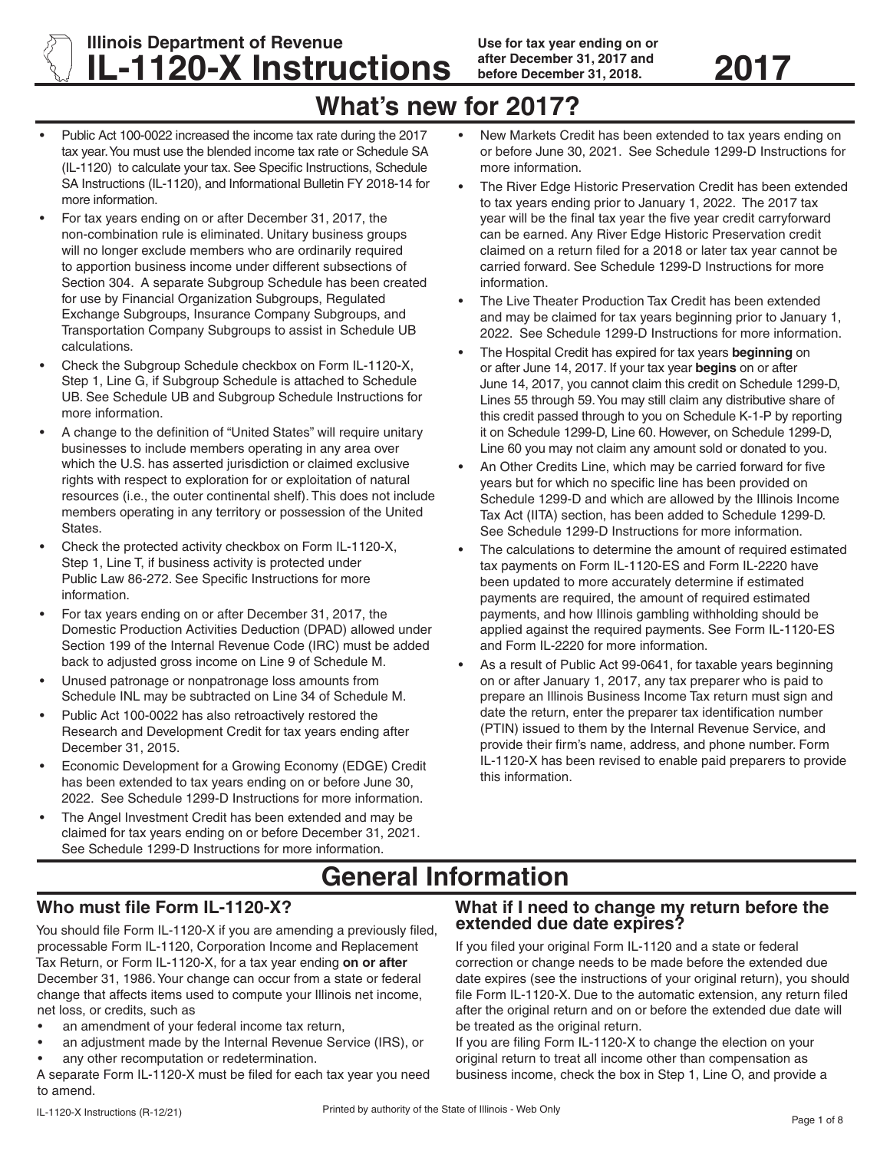**Illinois Department of Revenue IL-1120-X Instructions after December 31, 2017 and** 2017

# **What's new for 2017?**

- Public Act 100-0022 increased the income tax rate during the 2017 tax year. You must use the blended income tax rate or Schedule SA (IL-1120) to calculate your tax. See Specific Instructions, Schedule SA Instructions (IL-1120), and Informational Bulletin FY 2018-14 for more information.
- For tax years ending on or after December 31, 2017, the non-combination rule is eliminated. Unitary business groups will no longer exclude members who are ordinarily required to apportion business income under different subsections of Section 304. A separate Subgroup Schedule has been created for use by Financial Organization Subgroups, Regulated Exchange Subgroups, Insurance Company Subgroups, and Transportation Company Subgroups to assist in Schedule UB calculations.
- Check the Subgroup Schedule checkbox on Form IL-1120-X, Step 1, Line G, if Subgroup Schedule is attached to Schedule UB. See Schedule UB and Subgroup Schedule Instructions for more information.
- A change to the definition of "United States" will require unitary businesses to include members operating in any area over which the U.S. has asserted jurisdiction or claimed exclusive rights with respect to exploration for or exploitation of natural resources (i.e., the outer continental shelf). This does not include members operating in any territory or possession of the United States.
- Check the protected activity checkbox on Form IL-1120-X, Step 1, Line T, if business activity is protected under Public Law 86-272. See Specific Instructions for more information.
- For tax years ending on or after December 31, 2017, the Domestic Production Activities Deduction (DPAD) allowed under Section 199 of the Internal Revenue Code (IRC) must be added back to adjusted gross income on Line 9 of Schedule M.
- Unused patronage or nonpatronage loss amounts from Schedule INL may be subtracted on Line 34 of Schedule M.
- Public Act 100-0022 has also retroactively restored the Research and Development Credit for tax years ending after December 31, 2015.
- Economic Development for a Growing Economy (EDGE) Credit has been extended to tax years ending on or before June 30, 2022. See Schedule 1299-D Instructions for more information.
- The Angel Investment Credit has been extended and may be claimed for tax years ending on or before December 31, 2021. See Schedule 1299-D Instructions for more information.
- New Markets Credit has been extended to tax years ending on or before June 30, 2021. See Schedule 1299-D Instructions for more information.
- The River Edge Historic Preservation Credit has been extended to tax years ending prior to January 1, 2022. The 2017 tax year will be the final tax year the five year credit carryforward can be earned. Any River Edge Historic Preservation credit claimed on a return filed for a 2018 or later tax year cannot be carried forward. See Schedule 1299-D Instructions for more information.
- The Live Theater Production Tax Credit has been extended and may be claimed for tax years beginning prior to January 1, 2022. See Schedule 1299-D Instructions for more information.
- The Hospital Credit has expired for tax years **beginning** on or after June 14, 2017. If your tax year **begins** on or after June 14, 2017, you cannot claim this credit on Schedule 1299-D, Lines 55 through 59. You may still claim any distributive share of this credit passed through to you on Schedule K-1-P by reporting it on Schedule 1299-D, Line 60. However, on Schedule 1299-D, Line 60 you may not claim any amount sold or donated to you.
- An Other Credits Line, which may be carried forward for five years but for which no specific line has been provided on Schedule 1299-D and which are allowed by the Illinois Income Tax Act (IITA) section, has been added to Schedule 1299-D. See Schedule 1299-D Instructions for more information.
- The calculations to determine the amount of required estimated tax payments on Form IL-1120-ES and Form IL-2220 have been updated to more accurately determine if estimated payments are required, the amount of required estimated payments, and how Illinois gambling withholding should be applied against the required payments. See Form IL-1120-ES and Form IL-2220 for more information.
- As a result of Public Act 99-0641, for taxable years beginning on or after January 1, 2017, any tax preparer who is paid to prepare an Illinois Business Income Tax return must sign and date the return, enter the preparer tax identification number (PTIN) issued to them by the Internal Revenue Service, and provide their firm's name, address, and phone number. Form IL-1120-X has been revised to enable paid preparers to provide this information.

# **General Information**

# **Who must file Form IL-1120-X?**

You should file Form IL-1120-X if you are amending a previously filed, processable Form IL-1120, Corporation Income and Replacement Tax Return, or Form IL-1120-X, for a tax year ending **on or after** December 31, 1986. Your change can occur from a state or federal change that affects items used to compute your Illinois net income, net loss, or credits, such as

- an amendment of your federal income tax return,
- an adjustment made by the Internal Revenue Service (IRS), or
- any other recomputation or redetermination.

A separate Form IL-1120-X must be filed for each tax year you need to amend.

### **What if I need to change my return before the extended due date expires?**

If you filed your original Form IL-1120 and a state or federal correction or change needs to be made before the extended due date expires (see the instructions of your original return), you should file Form IL-1120-X. Due to the automatic extension, any return filed after the original return and on or before the extended due date will be treated as the original return.

If you are filing Form IL-1120-X to change the election on your original return to treat all income other than compensation as business income, check the box in Step 1, Line O, and provide a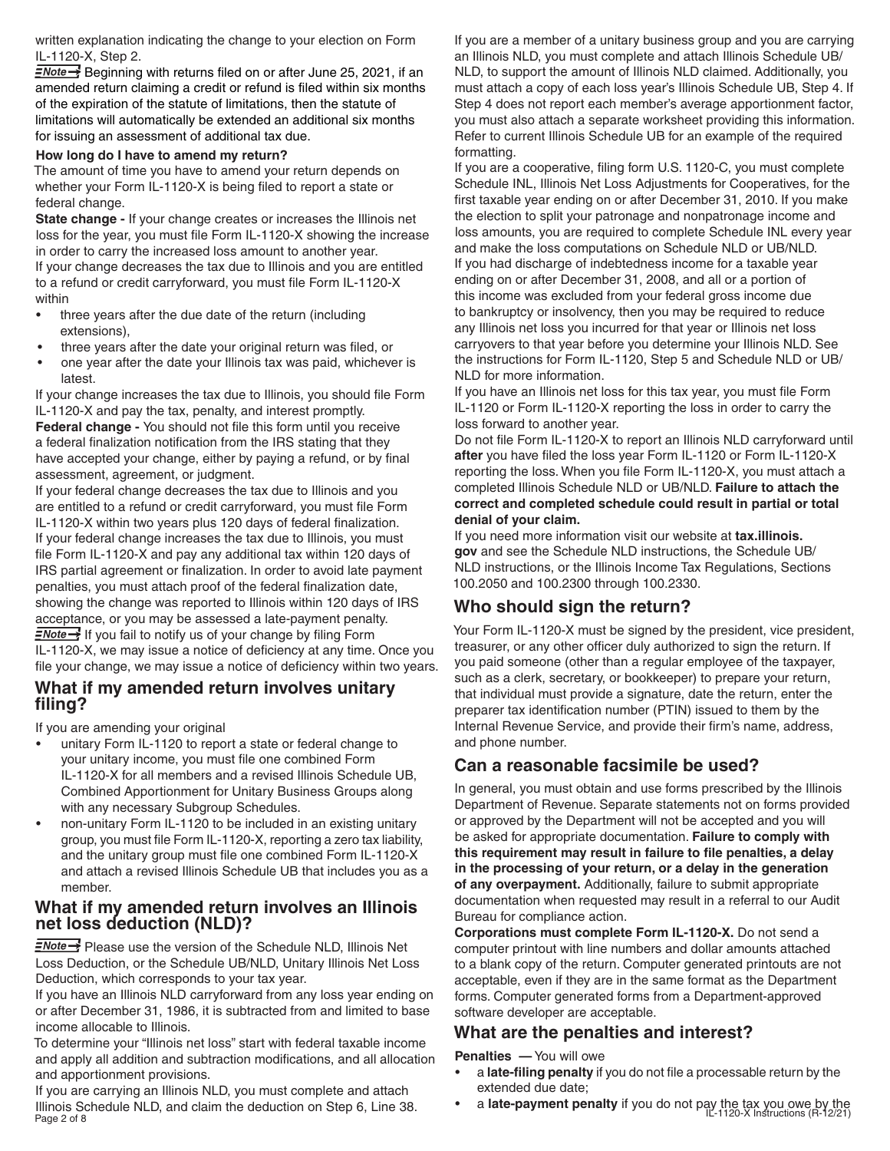written explanation indicating the change to your election on Form IL-1120-X, Step 2.

 $\frac{1}{2}$  Beginning with returns filed on or after June 25, 2021, if an amended return claiming a credit or refund is filed within six months of the expiration of the statute of limitations, then the statute of limitations will automatically be extended an additional six months for issuing an assessment of additional tax due.

#### **How long do I have to amend my return?**

The amount of time you have to amend your return depends on whether your Form IL-1120-X is being filed to report a state or federal change.

**State change -** If your change creates or increases the Illinois net loss for the year, you must file Form IL-1120-X showing the increase in order to carry the increased loss amount to another year. If your change decreases the tax due to Illinois and you are entitled to a refund or credit carryforward, you must file Form IL-1120-X within

- three years after the due date of the return (including extensions),
- three years after the date your original return was filed, or
- one year after the date your Illinois tax was paid, whichever is latest.

If your change increases the tax due to Illinois, you should file Form IL-1120-X and pay the tax, penalty, and interest promptly. **Federal change -** You should not file this form until you receive a federal finalization notification from the IRS stating that they have accepted your change, either by paying a refund, or by final assessment, agreement, or judgment.

If your federal change decreases the tax due to Illinois and you are entitled to a refund or credit carryforward, you must file Form IL-1120-X within two years plus 120 days of federal finalization. If your federal change increases the tax due to Illinois, you must file Form IL-1120-X and pay any additional tax within 120 days of IRS partial agreement or finalization. In order to avoid late payment penalties, you must attach proof of the federal finalization date, showing the change was reported to Illinois within 120 days of IRS acceptance, or you may be assessed a late-payment penalty.  $\frac{1}{2}$  If you fail to notify us of your change by filing Form IL-1120-X, we may issue a notice of deficiency at any time. Once you file your change, we may issue a notice of deficiency within two years.

#### **What if my amended return involves unitary filing?**

If you are amending your original

- unitary Form IL-1120 to report a state or federal change to your unitary income, you must file one combined Form IL-1120-X for all members and a revised Illinois Schedule UB, Combined Apportionment for Unitary Business Groups along with any necessary Subgroup Schedules.
- non-unitary Form IL-1120 to be included in an existing unitary group, you must file Form IL-1120-X, reporting a zero tax liability, and the unitary group must file one combined Form IL-1120-X and attach a revised Illinois Schedule UB that includes you as a member.

#### **What if my amended return involves an Illinois net loss deduction (NLD)?**

 $\equiv$ Note  $\rightarrow$  Please use the version of the Schedule NLD, Illinois Net Loss Deduction, or the Schedule UB/NLD, Unitary Illinois Net Loss Deduction, which corresponds to your tax year.

If you have an Illinois NLD carryforward from any loss year ending on or after December 31, 1986, it is subtracted from and limited to base income allocable to Illinois.

To determine your "Illinois net loss" start with federal taxable income and apply all addition and subtraction modifications, and all allocation and apportionment provisions.

Illinois Schedule NLD, and claim the deduction on Step 6, Line 38. **•• a late-payment penalty** if you do not pay the tax you owe by the<br>Page 2 of 8 **IL-1120-X Instructions** (R-12/21) If you are carrying an Illinois NLD, you must complete and attach Illinois Schedule NLD, and claim the deduction on Step 6, Line 38. Page  $2$  of 8

If you are a member of a unitary business group and you are carrying an Illinois NLD, you must complete and attach Illinois Schedule UB/ NLD, to support the amount of Illinois NLD claimed. Additionally, you must attach a copy of each loss year's Illinois Schedule UB, Step 4. If Step 4 does not report each member's average apportionment factor, you must also attach a separate worksheet providing this information. Refer to current Illinois Schedule UB for an example of the required formatting.

If you are a cooperative, filing form U.S. 1120-C, you must complete Schedule INL, Illinois Net Loss Adjustments for Cooperatives, for the first taxable year ending on or after December 31, 2010. If you make the election to split your patronage and nonpatronage income and loss amounts, you are required to complete Schedule INL every year and make the loss computations on Schedule NLD or UB/NLD. If you had discharge of indebtedness income for a taxable year ending on or after December 31, 2008, and all or a portion of this income was excluded from your federal gross income due to bankruptcy or insolvency, then you may be required to reduce any Illinois net loss you incurred for that year or Illinois net loss carryovers to that year before you determine your Illinois NLD. See the instructions for Form IL-1120, Step 5 and Schedule NLD or UB/ NLD for more information.

If you have an Illinois net loss for this tax year, you must file Form IL-1120 or Form IL-1120-X reporting the loss in order to carry the loss forward to another year.

Do not file Form IL-1120-X to report an Illinois NLD carryforward until **after** you have filed the loss year Form IL-1120 or Form IL-1120-X reporting the loss. When you file Form IL-1120-X, you must attach a completed Illinois Schedule NLD or UB/NLD. **Failure to attach the correct and completed schedule could result in partial or total denial of your claim.**

If you need more information visit our website at **tax.illinois. gov** and see the Schedule NLD instructions, the Schedule UB/ NLD instructions, or the Illinois Income Tax Regulations, Sections 100.2050 and 100.2300 through 100.2330.

# **Who should sign the return?**

Your Form IL-1120-X must be signed by the president, vice president, treasurer, or any other officer duly authorized to sign the return. If you paid someone (other than a regular employee of the taxpayer, such as a clerk, secretary, or bookkeeper) to prepare your return, that individual must provide a signature, date the return, enter the preparer tax identification number (PTIN) issued to them by the Internal Revenue Service, and provide their firm's name, address, and phone number.

# **Can a reasonable facsimile be used?**

In general, you must obtain and use forms prescribed by the Illinois Department of Revenue. Separate statements not on forms provided or approved by the Department will not be accepted and you will be asked for appropriate documentation. **Failure to comply with this requirement may result in failure to file penalties, a delay in the processing of your return, or a delay in the generation of any overpayment.** Additionally, failure to submit appropriate documentation when requested may result in a referral to our Audit Bureau for compliance action.

**Corporations must complete Form IL-1120-X.** Do not send a computer printout with line numbers and dollar amounts attached to a blank copy of the return. Computer generated printouts are not acceptable, even if they are in the same format as the Department forms. Computer generated forms from a Department-approved software developer are acceptable.

### **What are the penalties and interest?**

**Penalties —** You will owe

- a **late-filing penalty** if you do not file a processable return by the extended due date;
-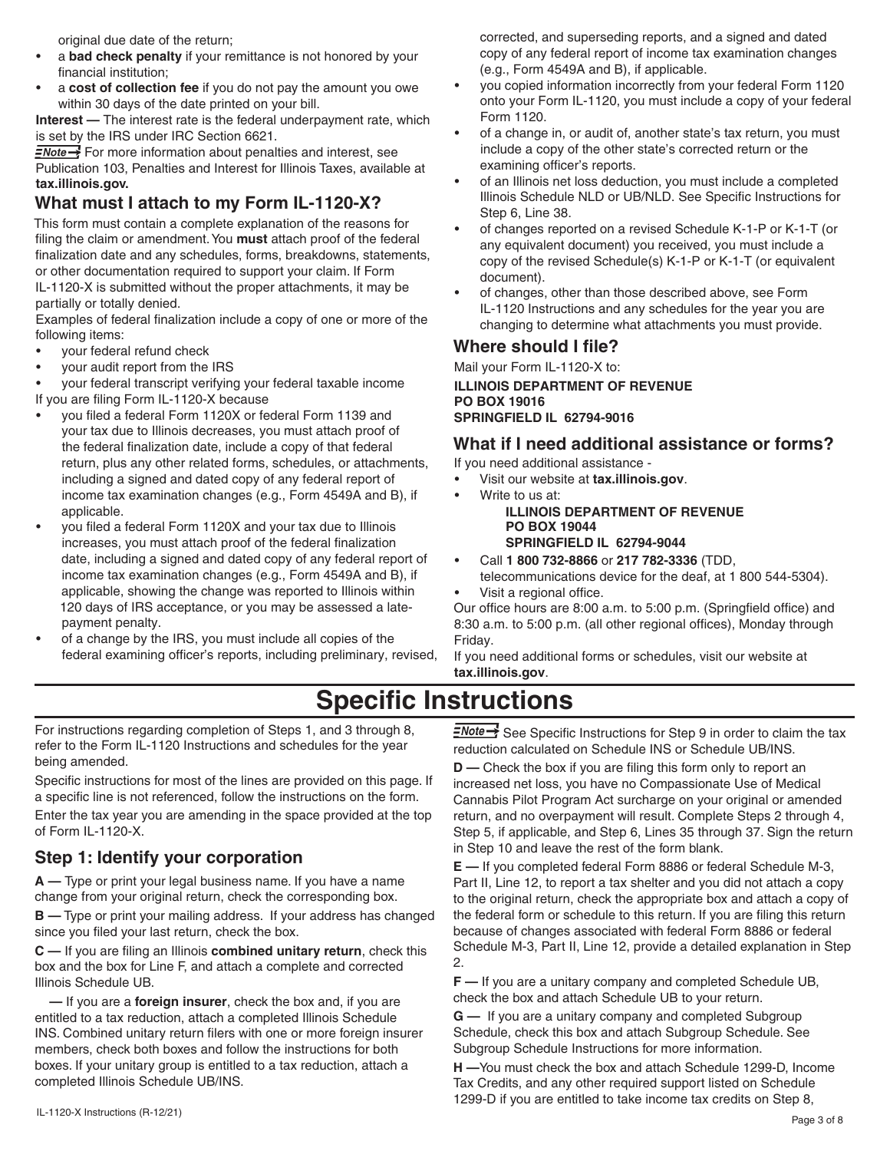original due date of the return;

- a **bad check penalty** if your remittance is not honored by your financial institution;
- a **cost of collection fee** if you do not pay the amount you owe within 30 days of the date printed on your bill.

**Interest —** The interest rate is the federal underpayment rate, which is set by the IRS under IRC Section 6621.

 $\frac{1}{2}$  For more information about penalties and interest, see Publication 103, Penalties and Interest for Illinois Taxes, available at **tax.illinois.gov.**

# **What must I attach to my Form IL-1120-X?**

This form must contain a complete explanation of the reasons for filing the claim or amendment. You **must** attach proof of the federal finalization date and any schedules, forms, breakdowns, statements, or other documentation required to support your claim. If Form IL-1120-X is submitted without the proper attachments, it may be partially or totally denied.

Examples of federal finalization include a copy of one or more of the following items:

- your federal refund check
- your audit report from the IRS

• your federal transcript verifying your federal taxable income If you are filing Form IL-1120-X because

- you filed a federal Form 1120X or federal Form 1139 and your tax due to Illinois decreases, you must attach proof of the federal finalization date, include a copy of that federal return, plus any other related forms, schedules, or attachments, including a signed and dated copy of any federal report of income tax examination changes (e.g., Form 4549A and B), if applicable.
- you filed a federal Form 1120X and your tax due to Illinois increases, you must attach proof of the federal finalization date, including a signed and dated copy of any federal report of income tax examination changes (e.g., Form 4549A and B), if applicable, showing the change was reported to Illinois within 120 days of IRS acceptance, or you may be assessed a latepayment penalty.
- of a change by the IRS, you must include all copies of the federal examining officer's reports, including preliminary, revised,

corrected, and superseding reports, and a signed and dated copy of any federal report of income tax examination changes (e.g., Form 4549A and B), if applicable.

- you copied information incorrectly from your federal Form 1120 onto your Form IL-1120, you must include a copy of your federal Form 1120.
- of a change in, or audit of, another state's tax return, you must include a copy of the other state's corrected return or the examining officer's reports.
- of an Illinois net loss deduction, you must include a completed Illinois Schedule NLD or UB/NLD. See Specific Instructions for Step 6, Line 38.
- of changes reported on a revised Schedule K-1-P or K-1-T (or any equivalent document) you received, you must include a copy of the revised Schedule(s) K-1-P or K-1-T (or equivalent document).
- of changes, other than those described above, see Form IL-1120 Instructions and any schedules for the year you are changing to determine what attachments you must provide.

## **Where should I file?**

Mail your Form IL-1120-X to: **ILLINOIS DEPARTMENT OF REVENUE PO BOX 19016 SPRINGFIELD IL 62794-9016**

# **What if I need additional assistance or forms?**

If you need additional assistance -

- Visit our website at **tax.illinois.gov**.
	- Write to us at: **ILLINOIS DEPARTMENT OF REVENUE PO BOX 19044 SPRINGFIELD IL 62794-9044**
- Call **1 800 732-8866** or **217 782-3336** (TDD,
- telecommunications device for the deaf, at 1 800 544-5304). Visit a regional office.

Our office hours are 8:00 a.m. to 5:00 p.m. (Springfield office) and 8:30 a.m. to 5:00 p.m. (all other regional offices), Monday through Friday.

If you need additional forms or schedules, visit our website at **tax.illinois.gov**.

# **Specific Instructions**

For instructions regarding completion of Steps 1, and 3 through 8, refer to the Form IL-1120 Instructions and schedules for the year being amended.

Specific instructions for most of the lines are provided on this page. If a specific line is not referenced, follow the instructions on the form.

Enter the tax year you are amending in the space provided at the top of Form IL-1120-X.

# **Step 1: Identify your corporation**

**A —** Type or print your legal business name. If you have a name change from your original return, check the corresponding box.

**B —** Type or print your mailing address. If your address has changed since you filed your last return, check the box.

**C —** If you are filing an Illinois **combined unitary return**, check this box and the box for Line F, and attach a complete and corrected Illinois Schedule UB.

 **—** If you are a **foreign insurer**, check the box and, if you are entitled to a tax reduction, attach a completed Illinois Schedule INS. Combined unitary return filers with one or more foreign insurer members, check both boxes and follow the instructions for both boxes. If your unitary group is entitled to a tax reduction, attach a completed Illinois Schedule UB/INS.

 $\equiv$ Note $\rightarrow$  See Specific Instructions for Step 9 in order to claim the tax reduction calculated on Schedule INS or Schedule UB/INS.

**D** — Check the box if you are filing this form only to report an increased net loss, you have no Compassionate Use of Medical Cannabis Pilot Program Act surcharge on your original or amended return, and no overpayment will result. Complete Steps 2 through 4, Step 5, if applicable, and Step 6, Lines 35 through 37. Sign the return in Step 10 and leave the rest of the form blank.

**E —** If you completed federal Form 8886 or federal Schedule M-3, Part II, Line 12, to report a tax shelter and you did not attach a copy to the original return, check the appropriate box and attach a copy of the federal form or schedule to this return. If you are filing this return because of changes associated with federal Form 8886 or federal Schedule M-3, Part II, Line 12, provide a detailed explanation in Step 2.

**F —** If you are a unitary company and completed Schedule UB, check the box and attach Schedule UB to your return.

**G —** If you are a unitary company and completed Subgroup Schedule, check this box and attach Subgroup Schedule. See Subgroup Schedule Instructions for more information.

**H —**You must check the box and attach Schedule 1299-D, Income Tax Credits, and any other required support listed on Schedule 1299-D if you are entitled to take income tax credits on Step 8,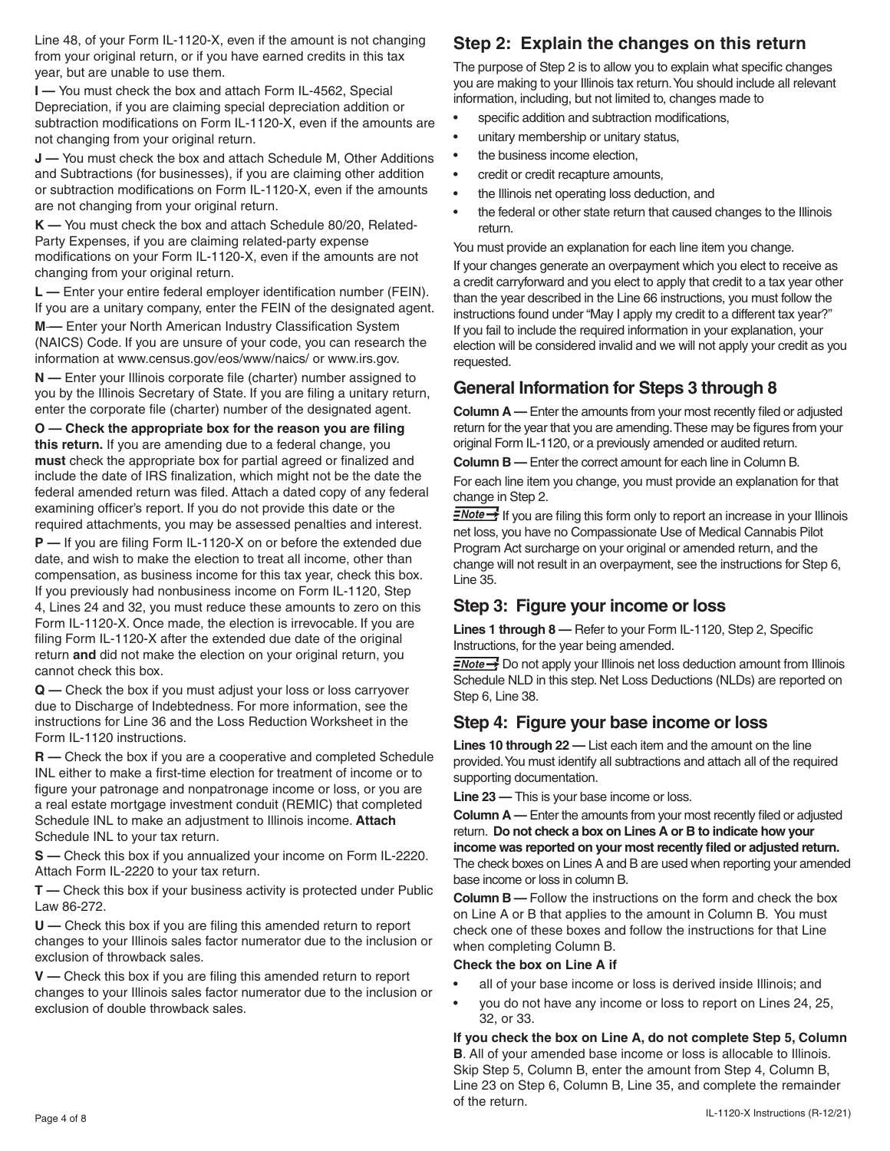Line 48, of your Form IL-1120-X, even if the amount is not changing from your original return, or if you have earned credits in this tax year, but are unable to use them.

**I —** You must check the box and attach Form IL-4562, Special Depreciation, if you are claiming special depreciation addition or subtraction modifications on Form IL-1120-X, even if the amounts are not changing from your original return.

**J —** You must check the box and attach Schedule M, Other Additions and Subtractions (for businesses), if you are claiming other addition or subtraction modifications on Form IL-1120-X, even if the amounts are not changing from your original return.

**K —** You must check the box and attach Schedule 80/20, Related-Party Expenses, if you are claiming related-party expense modifications on your Form IL-1120-X, even if the amounts are not changing from your original return.

**L —** Enter your entire federal employer identification number (FEIN). If you are a unitary company, enter the FEIN of the designated agent.

**M —** Enter your North American Industry Classification System (NAICS) Code. If you are unsure of your code, you can research the information at www.census.gov/eos/www/naics/ or www.irs.gov.

**N —** Enter your Illinois corporate file (charter) number assigned to you by the Illinois Secretary of State. If you are filing a unitary return, enter the corporate file (charter) number of the designated agent.

**O — Check the appropriate box for the reason you are filing this return.** If you are amending due to a federal change, you **must** check the appropriate box for partial agreed or finalized and include the date of IRS finalization, which might not be the date the federal amended return was filed. Attach a dated copy of any federal examining officer's report. If you do not provide this date or the required attachments, you may be assessed penalties and interest.

**P —** If you are filing Form IL-1120-X on or before the extended due date, and wish to make the election to treat all income, other than compensation, as business income for this tax year, check this box. If you previously had nonbusiness income on Form IL-1120, Step 4, Lines 24 and 32, you must reduce these amounts to zero on this Form IL-1120-X. Once made, the election is irrevocable. If you are filing Form IL-1120-X after the extended due date of the original return **and** did not make the election on your original return, you cannot check this box.

**Q —** Check the box if you must adjust your loss or loss carryover due to Discharge of Indebtedness. For more information, see the instructions for Line 36 and the Loss Reduction Worksheet in the Form IL-1120 instructions.

**R —** Check the box if you are a cooperative and completed Schedule INL either to make a first-time election for treatment of income or to figure your patronage and nonpatronage income or loss, or you are a real estate mortgage investment conduit (REMIC) that completed Schedule INL to make an adjustment to Illinois income. **Attach** Schedule INL to your tax return.

**S —** Check this box if you annualized your income on Form IL-2220. Attach Form IL-2220 to your tax return.

**T** — Check this box if your business activity is protected under Public Law 86-272.

**U —** Check this box if you are filing this amended return to report changes to your Illinois sales factor numerator due to the inclusion or exclusion of throwback sales.

**V —** Check this box if you are filing this amended return to report changes to your Illinois sales factor numerator due to the inclusion or exclusion of double throwback sales.

# **Step 2: Explain the changes on this return**

The purpose of Step 2 is to allow you to explain what specific changes you are making to your Illinois tax return. You should include all relevant information, including, but not limited to, changes made to

- specific addition and subtraction modifications,
- unitary membership or unitary status,
- the business income election,
- credit or credit recapture amounts,
- the Illinois net operating loss deduction, and
- the federal or other state return that caused changes to the Illinois return.

You must provide an explanation for each line item you change.

If your changes generate an overpayment which you elect to receive as a credit carryforward and you elect to apply that credit to a tax year other than the year described in the Line 66 instructions, you must follow the instructions found under "May I apply my credit to a different tax year?" If you fail to include the required information in your explanation, your election will be considered invalid and we will not apply your credit as you requested.

# **General Information for Steps 3 through 8**

**Column A —** Enter the amounts from your most recently filed or adjusted return for the year that you are amending. These may be figures from your original Form IL-1120, or a previously amended or audited return.

**Column B —** Enter the correct amount for each line in Column B.

For each line item you change, you must provide an explanation for that change in Step 2.

 $\frac{1}{2}$  If you are filing this form only to report an increase in your Illinois net loss, you have no Compassionate Use of Medical Cannabis Pilot Program Act surcharge on your original or amended return, and the change will not result in an overpayment, see the instructions for Step 6, Line 35.

# **Step 3: Figure your income or loss**

**Lines 1 through 8 —** Refer to your Form IL-1120, Step 2, Specific Instructions, for the year being amended.

**ENote >>>** Do not apply your Illinois net loss deduction amount from Illinois Schedule NLD in this step. Net Loss Deductions (NLDs) are reported on Step 6, Line 38.

## **Step 4: Figure your base income or loss**

**Lines 10 through 22 —** List each item and the amount on the line provided. You must identify all subtractions and attach all of the required supporting documentation.

**Line 23 —** This is your base income or loss.

**Column A —** Enter the amounts from your most recently filed or adjusted return. **Do not check a box on Lines A or B to indicate how your income was reported on your most recently filed or adjusted return.** The check boxes on Lines A and B are used when reporting your amended base income or loss in column B.

**Column B —** Follow the instructions on the form and check the box on Line A or B that applies to the amount in Column B. You must check one of these boxes and follow the instructions for that Line when completing Column B.

#### **Check the box on Line A if**

- all of your base income or loss is derived inside Illinois; and
- you do not have any income or loss to report on Lines 24, 25, 32, or 33.

**If you check the box on Line A, do not complete Step 5, Column B**. All of your amended base income or loss is allocable to Illinois. Skip Step 5, Column B, enter the amount from Step 4, Column B, Line 23 on Step 6, Column B, Line 35, and complete the remainder of the return.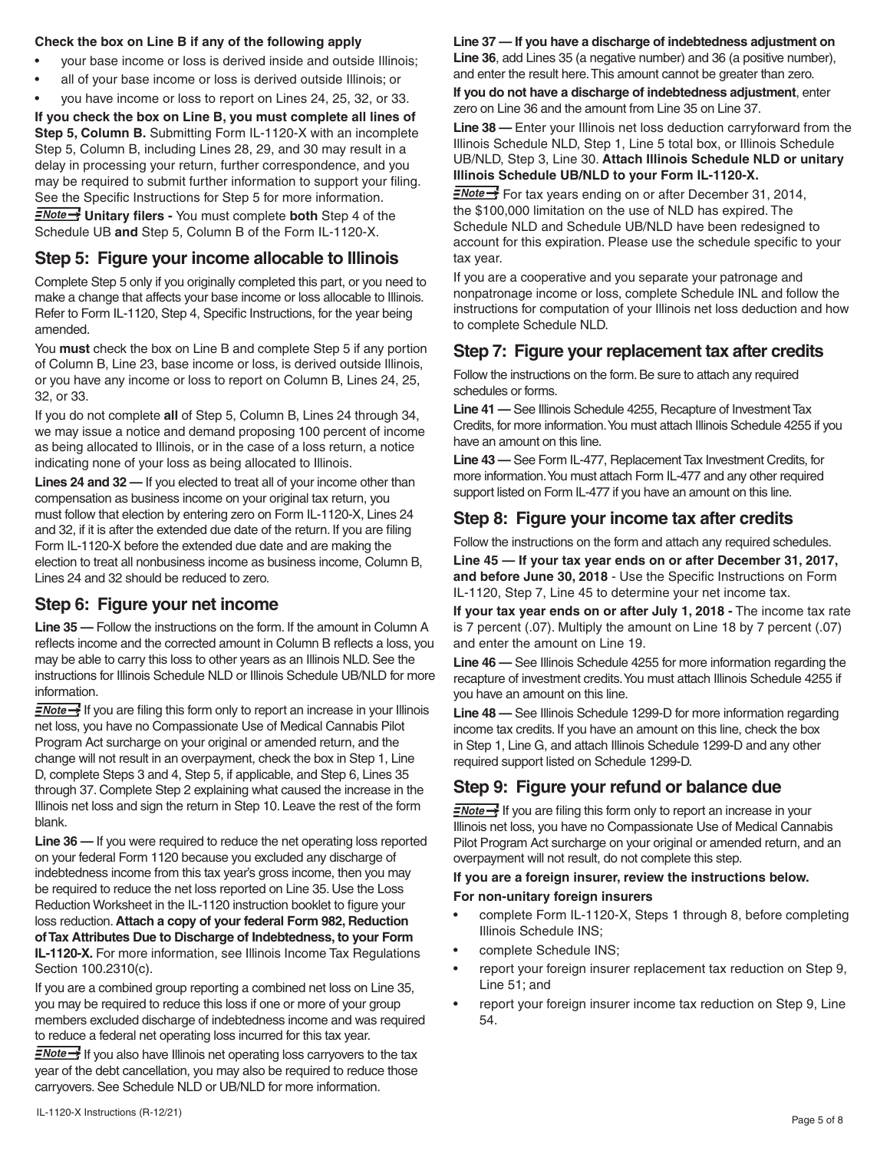#### **Check the box on Line B if any of the following apply**

- your base income or loss is derived inside and outside Illinois;
- all of your base income or loss is derived outside Illinois; or
- you have income or loss to report on Lines 24, 25, 32, or 33.

**If you check the box on Line B, you must complete all lines of Step 5, Column B.** Submitting Form IL-1120-X with an incomplete Step 5, Column B, including Lines 28, 29, and 30 may result in a delay in processing your return, further correspondence, and you may be required to submit further information to support your filing. See the Specific Instructions for Step 5 for more information.

**ENote >>** Unitary filers - You must complete both Step 4 of the Schedule UB **and** Step 5, Column B of the Form IL-1120-X.

#### **Step 5: Figure your income allocable to Illinois**

Complete Step 5 only if you originally completed this part, or you need to make a change that affects your base income or loss allocable to Illinois. Refer to Form IL-1120, Step 4, Specific Instructions, for the year being amended.

You **must** check the box on Line B and complete Step 5 if any portion of Column B, Line 23, base income or loss, is derived outside Illinois, or you have any income or loss to report on Column B, Lines 24, 25, 32, or 33.

If you do not complete **all** of Step 5, Column B, Lines 24 through 34, we may issue a notice and demand proposing 100 percent of income as being allocated to Illinois, or in the case of a loss return, a notice indicating none of your loss as being allocated to Illinois.

**Lines 24 and 32 —** If you elected to treat all of your income other than compensation as business income on your original tax return, you must follow that election by entering zero on Form IL-1120-X, Lines 24 and 32, if it is after the extended due date of the return. If you are filing Form IL-1120-X before the extended due date and are making the election to treat all nonbusiness income as business income, Column B, Lines 24 and 32 should be reduced to zero.

### **Step 6: Figure your net income**

**Line 35 —** Follow the instructions on the form. If the amount in Column A reflects income and the corrected amount in Column B reflects a loss, you may be able to carry this loss to other years as an Illinois NLD. See the instructions for Illinois Schedule NLD or Illinois Schedule UB/NLD for more information.

 $\equiv$ Note  $\rightarrow$  If you are filing this form only to report an increase in your Illinois net loss, you have no Compassionate Use of Medical Cannabis Pilot Program Act surcharge on your original or amended return, and the change will not result in an overpayment, check the box in Step 1, Line D, complete Steps 3 and 4, Step 5, if applicable, and Step 6, Lines 35 through 37. Complete Step 2 explaining what caused the increase in the Illinois net loss and sign the return in Step 10. Leave the rest of the form blank.

**Line 36 —** If you were required to reduce the net operating loss reported on your federal Form 1120 because you excluded any discharge of indebtedness income from this tax year's gross income, then you may be required to reduce the net loss reported on Line 35. Use the Loss Reduction Worksheet in the IL-1120 instruction booklet to figure your loss reduction. **Attach a copy of your federal Form 982, Reduction of Tax Attributes Due to Discharge of Indebtedness, to your Form IL-1120-X.** For more information, see Illinois Income Tax Regulations Section 100.2310(c).

If you are a combined group reporting a combined net loss on Line 35, you may be required to reduce this loss if one or more of your group members excluded discharge of indebtedness income and was required to reduce a federal net operating loss incurred for this tax year.

 $\equiv$ Note  $\rightarrow$  If you also have Illinois net operating loss carryovers to the tax year of the debt cancellation, you may also be required to reduce those carryovers. See Schedule NLD or UB/NLD for more information.

#### **Line 37 — If you have a discharge of indebtedness adjustment on Line 36**, add Lines 35 (a negative number) and 36 (a positive number),

and enter the result here. This amount cannot be greater than zero.

**If you do not have a discharge of indebtedness adjustment**, enter zero on Line 36 and the amount from Line 35 on Line 37.

**Line 38 —** Enter your Illinois net loss deduction carryforward from the Illinois Schedule NLD, Step 1, Line 5 total box, or Illinois Schedule UB/NLD, Step 3, Line 30. **Attach Illinois Schedule NLD or unitary Illinois Schedule UB/NLD to your Form IL-1120-X.**

 $\frac{1}{2}$  For tax years ending on or after December 31, 2014, the \$100,000 limitation on the use of NLD has expired. The Schedule NLD and Schedule UB/NLD have been redesigned to account for this expiration. Please use the schedule specific to your tax year.

If you are a cooperative and you separate your patronage and nonpatronage income or loss, complete Schedule INL and follow the instructions for computation of your Illinois net loss deduction and how to complete Schedule NLD.

# **Step 7: Figure your replacement tax after credits**

Follow the instructions on the form. Be sure to attach any required schedules or forms.

**Line 41 —** See Illinois Schedule 4255, Recapture of Investment Tax Credits, for more information. You must attach Illinois Schedule 4255 if you have an amount on this line.

**Line 43 —** See Form IL-477, Replacement Tax Investment Credits, for more information. You must attach Form IL-477 and any other required support listed on Form IL-477 if you have an amount on this line.

## **Step 8: Figure your income tax after credits**

Follow the instructions on the form and attach any required schedules.

**Line 45 — If your tax year ends on or after December 31, 2017, and before June 30, 2018** - Use the Specific Instructions on Form IL-1120, Step 7, Line 45 to determine your net income tax.

**If your tax year ends on or after July 1, 2018 -** The income tax rate is 7 percent (.07). Multiply the amount on Line 18 by 7 percent (.07) and enter the amount on Line 19.

**Line 46 —** See Illinois Schedule 4255 for more information regarding the recapture of investment credits. You must attach Illinois Schedule 4255 if you have an amount on this line.

**Line 48 —** See Illinois Schedule 1299-D for more information regarding income tax credits. If you have an amount on this line, check the box in Step 1, Line G, and attach Illinois Schedule 1299-D and any other required support listed on Schedule 1299-D.

# **Step 9: Figure your refund or balance due**

 $\equiv$ Note  $\rightarrow$  If you are filing this form only to report an increase in your Illinois net loss, you have no Compassionate Use of Medical Cannabis Pilot Program Act surcharge on your original or amended return, and an overpayment will not result, do not complete this step.

#### **If you are a foreign insurer, review the instructions below.**

#### **For non-unitary foreign insurers**

- complete Form IL-1120-X, Steps 1 through 8, before completing Illinois Schedule INS;
- complete Schedule INS;
- report your foreign insurer replacement tax reduction on Step 9, Line 51; and
- report your foreign insurer income tax reduction on Step 9, Line 54.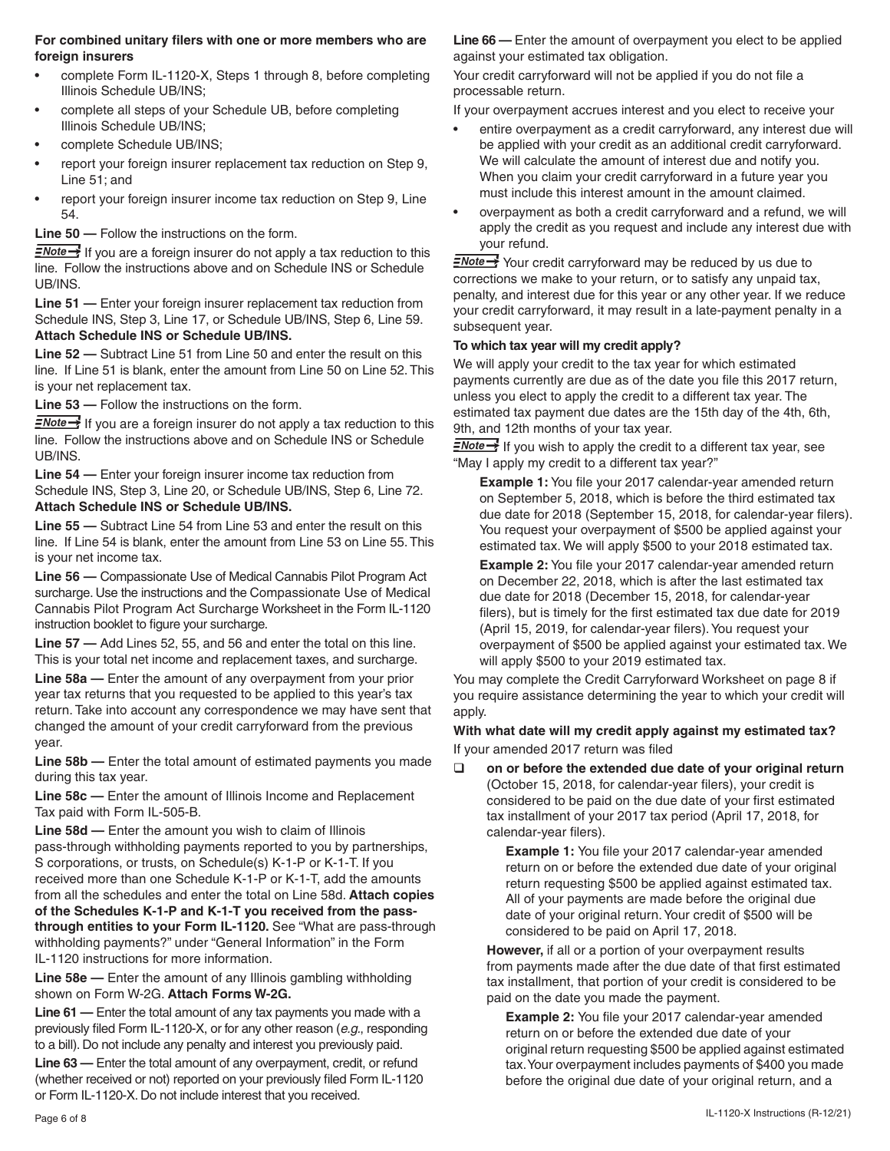#### **For combined unitary filers with one or more members who are foreign insurers**

- complete Form IL-1120-X, Steps 1 through 8, before completing Illinois Schedule UB/INS;
- complete all steps of your Schedule UB, before completing Illinois Schedule UB/INS;
- complete Schedule UB/INS;
- report your foreign insurer replacement tax reduction on Step 9, Line 51; and
- report your foreign insurer income tax reduction on Step 9, Line 54.

## **Line 50 —** Follow the instructions on the form.

 $\equiv$ Note  $\rightarrow$  If you are a foreign insurer do not apply a tax reduction to this line. Follow the instructions above and on Schedule INS or Schedule UB/INS.

**Line 51 —** Enter your foreign insurer replacement tax reduction from Schedule INS, Step 3, Line 17, or Schedule UB/INS, Step 6, Line 59. **Attach Schedule INS or Schedule UB/INS.**

**Line 52 —** Subtract Line 51 from Line 50 and enter the result on this line. If Line 51 is blank, enter the amount from Line 50 on Line 52. This is your net replacement tax.

**Line 53 —** Follow the instructions on the form.

 $\frac{2Note-1}{N}$  If you are a foreign insurer do not apply a tax reduction to this line. Follow the instructions above and on Schedule INS or Schedule UB/INS.

**Line 54 —** Enter your foreign insurer income tax reduction from Schedule INS, Step 3, Line 20, or Schedule UB/INS, Step 6, Line 72. **Attach Schedule INS or Schedule UB/INS.**

**Line 55 —** Subtract Line 54 from Line 53 and enter the result on this line. If Line 54 is blank, enter the amount from Line 53 on Line 55. This is your net income tax.

**Line 56 —** Compassionate Use of Medical Cannabis Pilot Program Act surcharge. Use the instructions and the Compassionate Use of Medical Cannabis Pilot Program Act Surcharge Worksheet in the Form IL-1120 instruction booklet to figure your surcharge.

**Line 57 —** Add Lines 52, 55, and 56 and enter the total on this line. This is your total net income and replacement taxes, and surcharge.

**Line 58a —** Enter the amount of any overpayment from your prior year tax returns that you requested to be applied to this year's tax return. Take into account any correspondence we may have sent that changed the amount of your credit carryforward from the previous year.

**Line 58b —** Enter the total amount of estimated payments you made during this tax year.

**Line 58c —** Enter the amount of Illinois Income and Replacement Tax paid with Form IL-505-B.

**Line 58d —** Enter the amount you wish to claim of Illinois pass-through withholding payments reported to you by partnerships, S corporations, or trusts, on Schedule(s) K-1-P or K-1-T. If you received more than one Schedule K-1-P or K-1-T, add the amounts from all the schedules and enter the total on Line 58d. **Attach copies of the Schedules K-1-P and K-1-T you received from the passthrough entities to your Form IL-1120.** See "What are pass-through withholding payments?" under "General Information" in the Form IL-1120 instructions for more information.

**Line 58e —** Enter the amount of any Illinois gambling withholding shown on Form W-2G. **Attach Forms W-2G.**

**Line 61 —** Enter the total amount of any tax payments you made with a previously filed Form IL-1120-X, or for any other reason (*e.g.*, responding to a bill). Do not include any penalty and interest you previously paid.

**Line 63 —** Enter the total amount of any overpayment, credit, or refund (whether received or not) reported on your previously filed Form IL-1120 or Form IL-1120-X. Do not include interest that you received.

**Line 66 —** Enter the amount of overpayment you elect to be applied against your estimated tax obligation.

Your credit carryforward will not be applied if you do not file a processable return.

If your overpayment accrues interest and you elect to receive your

- entire overpayment as a credit carryforward, any interest due will be applied with your credit as an additional credit carryforward. We will calculate the amount of interest due and notify you. When you claim your credit carryforward in a future year you must include this interest amount in the amount claimed.
- overpayment as both a credit carryforward and a refund, we will apply the credit as you request and include any interest due with your refund.

**ENote >>** Your credit carryforward may be reduced by us due to corrections we make to your return, or to satisfy any unpaid tax, penalty, and interest due for this year or any other year. If we reduce your credit carryforward, it may result in a late-payment penalty in a subsequent year.

#### **To which tax year will my credit apply?**

We will apply your credit to the tax year for which estimated payments currently are due as of the date you file this 2017 return, unless you elect to apply the credit to a different tax year. The estimated tax payment due dates are the 15th day of the 4th, 6th, 9th, and 12th months of your tax year.

 $\equiv$ Note  $\rightarrow$  If you wish to apply the credit to a different tax year, see "May I apply my credit to a different tax year?"

**Example 1:** You file your 2017 calendar-year amended return on September 5, 2018, which is before the third estimated tax due date for 2018 (September 15, 2018, for calendar-year filers). You request your overpayment of \$500 be applied against your estimated tax. We will apply \$500 to your 2018 estimated tax.

**Example 2:** You file your 2017 calendar-year amended return on December 22, 2018, which is after the last estimated tax due date for 2018 (December 15, 2018, for calendar-year filers), but is timely for the first estimated tax due date for 2019 (April 15, 2019, for calendar-year filers). You request your overpayment of \$500 be applied against your estimated tax. We will apply \$500 to your 2019 estimated tax.

You may complete the Credit Carryforward Worksheet on page 8 if you require assistance determining the year to which your credit will apply.

**With what date will my credit apply against my estimated tax?** If your amended 2017 return was filed

 **on or before the extended due date of your original return**  (October 15, 2018, for calendar-year filers), your credit is considered to be paid on the due date of your first estimated tax installment of your 2017 tax period (April 17, 2018, for calendar-year filers).

 **Example 1:** You file your 2017 calendar-year amended return on or before the extended due date of your original return requesting \$500 be applied against estimated tax. All of your payments are made before the original due date of your original return. Your credit of \$500 will be considered to be paid on April 17, 2018.

**However,** if all or a portion of your overpayment results from payments made after the due date of that first estimated tax installment, that portion of your credit is considered to be paid on the date you made the payment.

 **Example 2:** You file your 2017 calendar-year amended return on or before the extended due date of your original return requesting \$500 be applied against estimated tax. Your overpayment includes payments of \$400 you made before the original due date of your original return, and a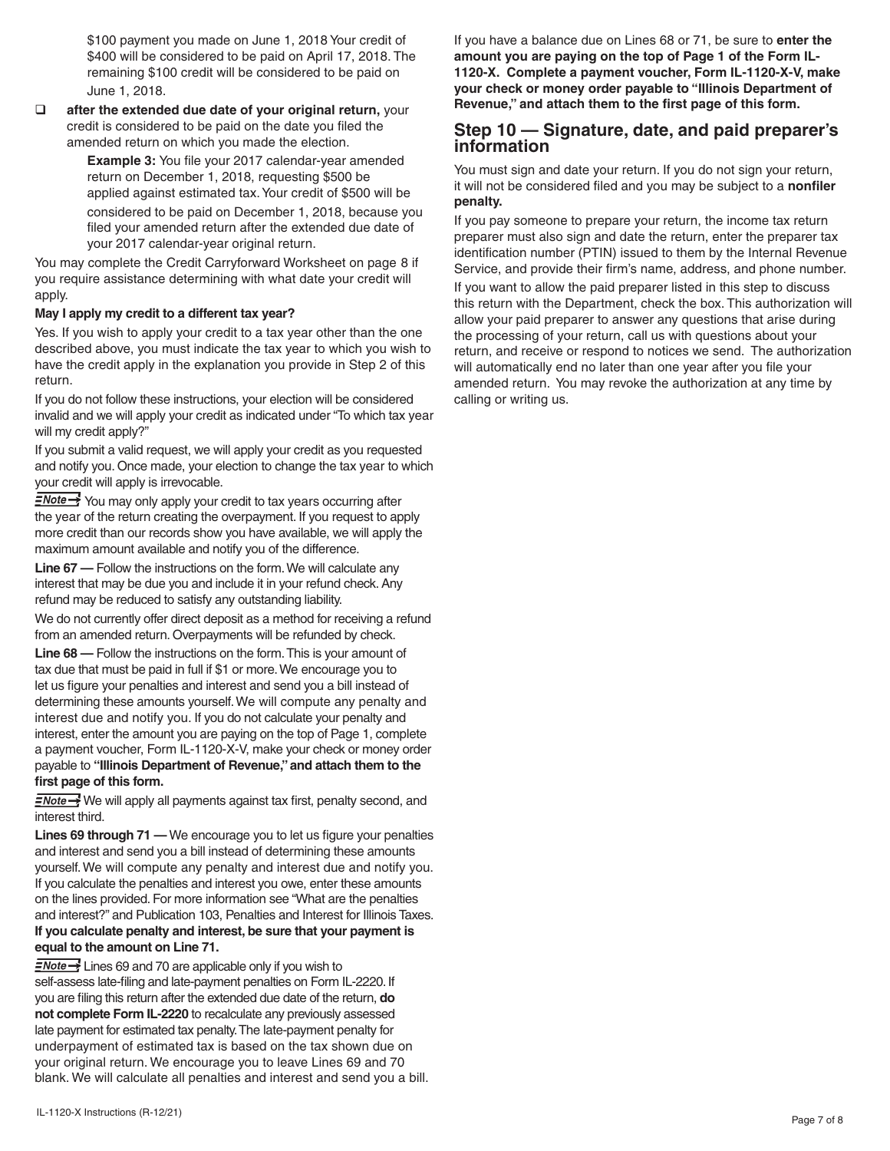\$100 payment you made on June 1, 2018 Your credit of \$400 will be considered to be paid on April 17, 2018. The remaining \$100 credit will be considered to be paid on June 1, 2018.

 $\Box$  after the extended due date of your original return, your credit is considered to be paid on the date you filed the amended return on which you made the election.

 **Example 3:** You file your 2017 calendar-year amended return on December 1, 2018, requesting \$500 be applied against estimated tax. Your credit of \$500 will be considered to be paid on December 1, 2018, because you filed your amended return after the extended due date of your 2017 calendar-year original return.

You may complete the Credit Carryforward Worksheet on page 8 if you require assistance determining with what date your credit will apply.

#### **May I apply my credit to a different tax year?**

Yes. If you wish to apply your credit to a tax year other than the one described above, you must indicate the tax year to which you wish to have the credit apply in the explanation you provide in Step 2 of this return.

If you do not follow these instructions, your election will be considered invalid and we will apply your credit as indicated under "To which tax year will my credit apply?"

If you submit a valid request, we will apply your credit as you requested and notify you. Once made, your election to change the tax year to which your credit will apply is irrevocable.

**ENote >>>** You may only apply your credit to tax years occurring after the year of the return creating the overpayment. If you request to apply more credit than our records show you have available, we will apply the maximum amount available and notify you of the difference.

**Line 67 —** Follow the instructions on the form. We will calculate any interest that may be due you and include it in your refund check. Any refund may be reduced to satisfy any outstanding liability.

We do not currently offer direct deposit as a method for receiving a refund from an amended return. Overpayments will be refunded by check.

**Line 68 —** Follow the instructions on the form. This is your amount of tax due that must be paid in full if \$1 or more. We encourage you to let us figure your penalties and interest and send you a bill instead of determining these amounts yourself. We will compute any penalty and interest due and notify you. If you do not calculate your penalty and interest, enter the amount you are paying on the top of Page 1, complete a payment voucher, Form IL-1120-X-V, make your check or money order payable to **"Illinois Department of Revenue," and attach them to the first page of this form.**

**ENote** Sumbled We will apply all payments against tax first, penalty second, and interest third.

**Lines 69 through 71 —** We encourage you to let us figure your penalties and interest and send you a bill instead of determining these amounts yourself. We will compute any penalty and interest due and notify you. If you calculate the penalties and interest you owe, enter these amounts on the lines provided. For more information see "What are the penalties and interest?" and Publication 103, Penalties and Interest for Illinois Taxes. **If you calculate penalty and interest, be sure that your payment is equal to the amount on Line 71.**

**ENote** - Lines 69 and 70 are applicable only if you wish to self-assess late-filing and late-payment penalties on Form IL-2220. If you are filing this return after the extended due date of the return, **do not complete Form IL-2220** to recalculate any previously assessed late payment for estimated tax penalty. The late-payment penalty for underpayment of estimated tax is based on the tax shown due on your original return. We encourage you to leave Lines 69 and 70 blank. We will calculate all penalties and interest and send you a bill. If you have a balance due on Lines 68 or 71, be sure to **enter the amount you are paying on the top of Page 1 of the Form IL-1120-X. Complete a payment voucher, Form IL-1120-X-V, make your check or money order payable to "Illinois Department of Revenue," and attach them to the first page of this form.**

# **Step 10 — Signature, date, and paid preparer's information**

You must sign and date your return. If you do not sign your return, it will not be considered filed and you may be subject to a **nonfiler penalty.**

If you pay someone to prepare your return, the income tax return preparer must also sign and date the return, enter the preparer tax identification number (PTIN) issued to them by the Internal Revenue Service, and provide their firm's name, address, and phone number. If you want to allow the paid preparer listed in this step to discuss this return with the Department, check the box. This authorization will allow your paid preparer to answer any questions that arise during the processing of your return, call us with questions about your return, and receive or respond to notices we send. The authorization will automatically end no later than one year after you file your amended return. You may revoke the authorization at any time by calling or writing us.